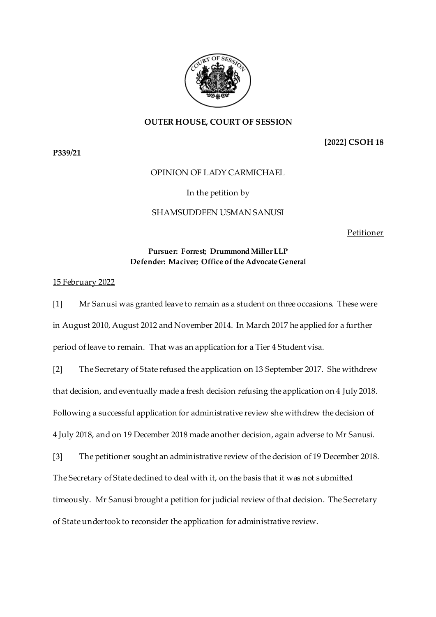

## **OUTER HOUSE, COURT OF SESSION**

**P339/21**

**[2022] CSOH 18**

## OPINION OF LADY CARMICHAEL

### In the petition by

### SHAMSUDDEEN USMAN SANUSI

Petitioner

### **Pursuer: Forrest; Drummond Miller LLP Defender: Maciver; Office of the Advocate General**

#### 15 February 2022

[1] Mr Sanusi was granted leave to remain as a student on three occasions. These were in August 2010, August 2012 and November 2014. In March 2017 he applied for a further period of leave to remain. That was an application for a Tier 4 Student visa.

[2] The Secretary of State refused the application on 13 September 2017. She withdrew that decision, and eventually made a fresh decision refusing the application on 4 July 2018. Following a successful application for administrative review she withdrew the decision of 4 July 2018, and on 19 December 2018 made another decision, again adverse to Mr Sanusi.

[3] The petitioner sought an administrative review of the decision of 19 December 2018. The Secretary of State declined to deal with it, on the basis that it was not submitted timeously. Mr Sanusi brought a petition for judicial review of that decision. The Secretary of State undertook to reconsider the application for administrative review.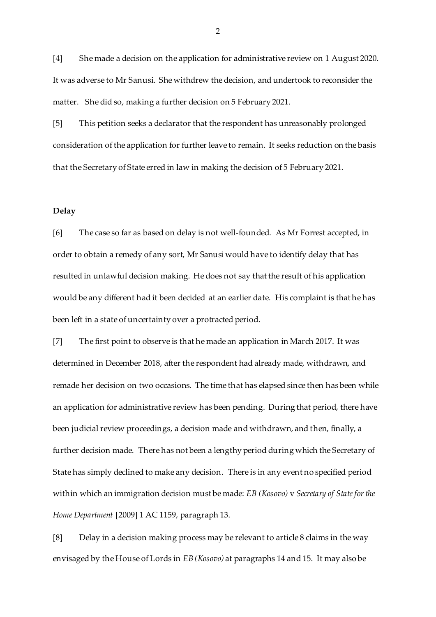[4] She made a decision on the application for administrative review on 1 August 2020. It was adverse to Mr Sanusi. She withdrew the decision, and undertook to reconsider the matter. She did so, making a further decision on 5 February 2021.

[5] This petition seeks a declarator that the respondent has unreasonably prolonged consideration of the application for further leave to remain. It seeks reduction on the basis that the Secretary of State erred in law in making the decision of 5 February 2021.

#### **Delay**

[6] The case so far as based on delay is not well-founded. As Mr Forrest accepted, in order to obtain a remedy of any sort, Mr Sanusi would have to identify delay that has resulted in unlawful decision making. He does not say that the result of his application would be any different had it been decided at an earlier date. His complaint is that he has been left in a state of uncertainty over a protracted period.

[7] The first point to observe is that he made an application in March 2017. It was determined in December 2018, after the respondent had already made, withdrawn, and remade her decision on two occasions. The time that has elapsed since then has been while an application for administrative review has been pending. During that period, there have been judicial review proceedings, a decision made and withdrawn, and then, finally, a further decision made. There has not been a lengthy period during which the Secretary of State has simply declined to make any decision. There is in any event no specified period within which an immigration decision must be made: *EB (Kosovo)* v *Secretary of State for the Home Department* [2009] 1 AC 1159, paragraph 13.

[8] Delay in a decision making process may be relevant to article 8 claims in the way envisaged by the House of Lords in *EB (Kosovo)* at paragraphs 14 and 15. It may also be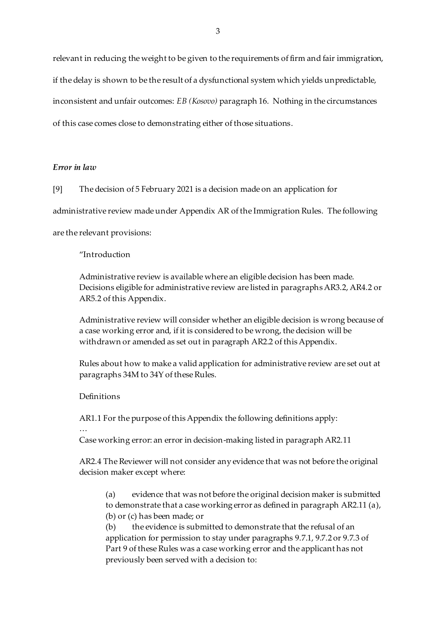relevant in reducing the weight to be given to the requirements of firm and fair immigration, if the delay is shown to be the result of a dysfunctional system which yields unpredictable, inconsistent and unfair outcomes: *EB (Kosovo)* paragraph 16. Nothing in the circumstances of this case comes close to demonstrating either of those situations.

## *Error in law*

[9] The decision of 5 February 2021 is a decision made on an application for

administrative review made under Appendix AR of the Immigration Rules. The following

are the relevant provisions:

"Introduction

Administrative review is available where an eligible decision has been made. Decisions eligible for administrative review are listed in paragraphs AR3.2, AR4.2 or AR5.2 of this Appendix.

Administrative review will consider whether an eligible decision is wrong because of a case working error and, if it is considered to be wrong, the decision will be withdrawn or amended as set out in paragraph AR2.2 of this Appendix.

Rules about how to make a valid application for administrative review are set out at paragraphs 34M to 34Y of these Rules.

#### Definitions

AR1.1 For the purpose of this Appendix the following definitions apply:

…

Case working error: an error in decision-making listed in paragraph AR2.11

AR2.4 The Reviewer will not consider any evidence that was not before the original decision maker except where:

(a) evidence that was not before the original decision maker is submitted to demonstrate that a case working error as defined in paragraph AR2.11 (a), (b) or (c) has been made; or

(b) the evidence is submitted to demonstrate that the refusal of an application for permission to stay under paragraphs 9.7.1, 9.7.2 or 9.7.3 of Part 9 of these Rules was a case working error and the applicant has not previously been served with a decision to: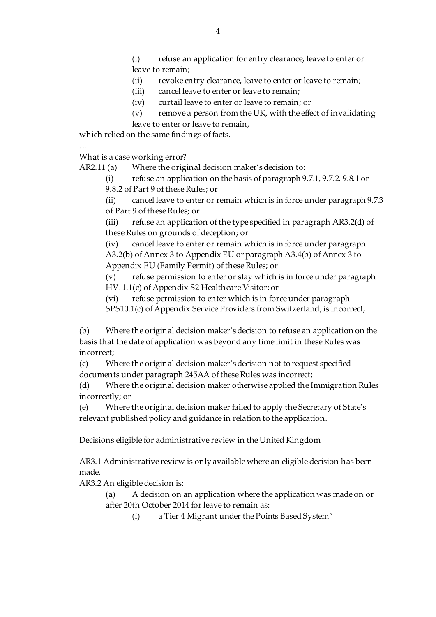(i) refuse an application for entry clearance, leave to enter or leave to remain;

(ii) revoke entry clearance, leave to enter or leave to remain;

(iii) cancel leave to enter or leave to remain;

(iv) curtail leave to enter or leave to remain; or

 $(v)$  remove a person from the UK, with the effect of invalidating leave to enter or leave to remain,

which relied on the same findings of facts.

…

What is a case working error?

AR2.11 (a) Where the original decision maker's decision to:

(i) refuse an application on the basis of paragraph 9.7.1, 9.7.2, 9.8.1 or 9.8.2 of Part 9 of these Rules; or

(ii) cancel leave to enter or remain which is in force under paragraph 9.7.3 of Part 9 of these Rules; or

(iii) refuse an application of the type specified in paragraph AR3.2(d) of these Rules on grounds of deception; or

(iv) cancel leave to enter or remain which is in force under paragraph A3.2(b) of Annex 3 to Appendix EU or paragraph A3.4(b) of Annex 3 to Appendix EU (Family Permit) of these Rules; or

(v) refuse permission to enter or stay which is in force under paragraph HV11.1(c) of Appendix S2 Healthcare Visitor; or

(vi) refuse permission to enter which is in force under paragraph

SPS10.1(c) of Appendix Service Providers from Switzerland; is incorrect;

(b) Where the original decision maker's decision to refuse an application on the basis that the date of application was beyond any time limit in these Rules was incorrect;

(c) Where the original decision maker's decision not to request specified documents under paragraph 245AA of these Rules was incorrect;

(d) Where the original decision maker otherwise applied the Immigration Rules incorrectly; or

(e) Where the original decision maker failed to apply the Secretary of State's relevant published policy and guidance in relation to the application.

Decisions eligible for administrative review in the United Kingdom

AR3.1 Administrative review is only available where an eligible decision has been made.

AR3.2 An eligible decision is:

(a) A decision on an application where the application was made on or after 20th October 2014 for leave to remain as:

(i) a Tier 4 Migrant under the Points Based System"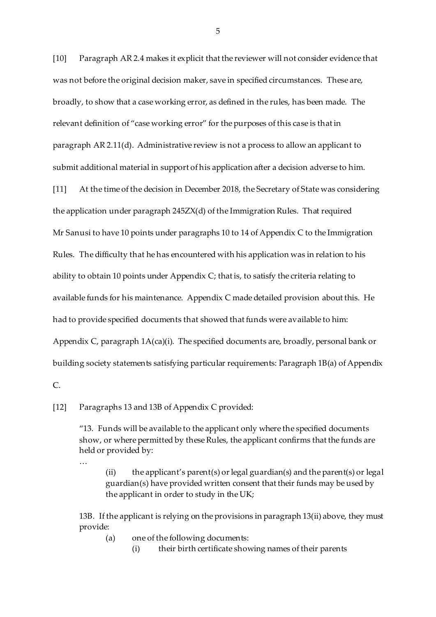[10] Paragraph AR 2.4 makes it explicit that the reviewer will not consider evidence that was not before the original decision maker, save in specified circumstances. These are, broadly, to show that a case working error, as defined in the rules, has been made. The relevant definition of "case working error" for the purposes of this case is that in paragraph AR 2.11(d). Administrative review is not a process to allow an applicant to submit additional material in support of his application after a decision adverse to him.

[11] At the time of the decision in December 2018, the Secretary of State was considering the application under paragraph 245ZX(d) of the Immigration Rules. That required Mr Sanusi to have 10 points under paragraphs 10 to 14 of Appendix C to the Immigration Rules. The difficulty that he has encountered with his application was in relation to his ability to obtain 10 points under Appendix C; that is, to satisfy the criteria relating to available funds for his maintenance. Appendix C made detailed provision about this. He had to provide specified documents that showed that funds were available to him: Appendix C, paragraph 1A(ca)(i). The specified documents are, broadly, personal bank or building society statements satisfying particular requirements: Paragraph 1B(a) of Appendix

[12] Paragraphs 13 and 13B of Appendix C provided:

"13. Funds will be available to the applicant only where the specified documents show, or where permitted by these Rules, the applicant confirms that the funds are held or provided by:

…

 $C_{n}$ 

(ii) the applicant's parent(s) or legal guardian(s) and the parent(s) or legal guardian(s) have provided written consent that their funds may be used by the applicant in order to study in the UK;

13B. If the applicant is relying on the provisions in paragraph 13(ii) above, they must provide:

(a) one of the following documents:

(i) their birth certificate showing names of their parents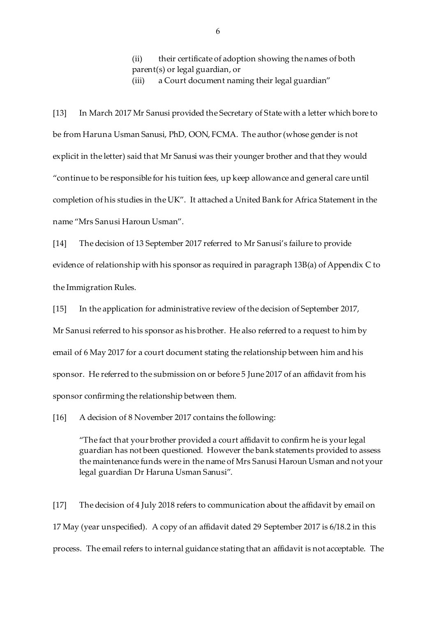(ii) their certificate of adoption showing the names of both parent(s) or legal guardian, or

(iii) a Court document naming their legal guardian"

[13] In March 2017 Mr Sanusi provided the Secretary of State with a letter which bore to be from Haruna Usman Sanusi, PhD, OON, FCMA. The author (whose gender is not explicit in the letter) said that Mr Sanusi was their younger brother and that they would "continue to be responsible for his tuition fees, up keep allowance and general care until completion of his studies in the UK". It attached a United Bank for Africa Statement in the name "Mrs Sanusi Haroun Usman".

[14] The decision of 13 September 2017 referred to Mr Sanusi's failure to provide evidence of relationship with his sponsor as required in paragraph 13B(a) of Appendix C to the Immigration Rules.

[15] In the application for administrative review of the decision of September 2017, Mr Sanusi referred to his sponsor as his brother. He also referred to a request to him by email of 6 May 2017 for a court document stating the relationship between him and his sponsor. He referred to the submission on or before 5 June 2017 of an affidavit from his sponsor confirming the relationship between them.

[16] A decision of 8 November 2017 contains the following:

"The fact that your brother provided a court affidavit to confirm he is your legal guardian has not been questioned. However the bank statements provided to assess the maintenance funds were in the name of Mrs Sanusi Haroun Usman and not your legal guardian Dr Haruna Usman Sanusi".

[17] The decision of 4 July 2018 refers to communication about the affidavit by email on 17 May (year unspecified). A copy of an affidavit dated 29 September 2017 is 6/18.2 in this process. The email refers to internal guidance stating that an affidavit is not acceptable. The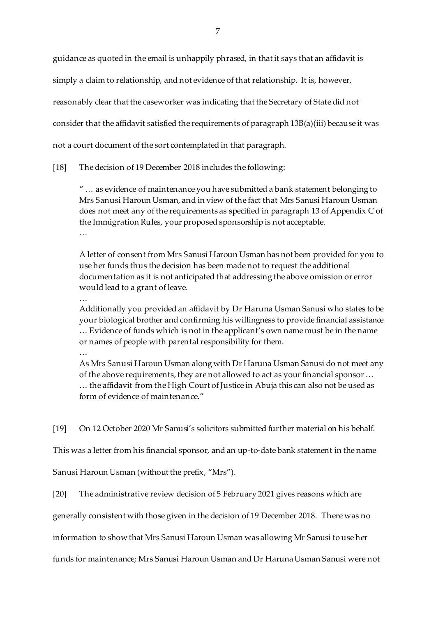guidance as quoted in the email is unhappily phrased, in that it says that an affidavit is

simply a claim to relationship, and not evidence of that relationship. It is, however,

reasonably clear that the caseworker was indicating that the Secretary of State did not

consider that the affidavit satisfied the requirements of paragraph 13B(a)(iii) because it was

not a court document of the sort contemplated in that paragraph.

[18] The decision of 19 December 2018 includes the following:

" … as evidence of maintenance you have submitted a bank statement belonging to Mrs Sanusi Haroun Usman, and in view of the fact that Mrs Sanusi Haroun Usman does not meet any of the requirements as specified in paragraph 13 of Appendix C of the Immigration Rules, your proposed sponsorship is not acceptable. …

A letter of consent from Mrs Sanusi Haroun Usman has not been provided for you to use her funds thus the decision has been made not to request the additional documentation as it is not anticipated that addressing the above omission or error would lead to a grant of leave.

…

Additionally you provided an affidavit by Dr Haruna Usman Sanusi who states to be your biological brother and confirming his willingness to provide financial assistance … Evidence of funds which is not in the applicant's own name must be in the name or names of people with parental responsibility for them.

…

As Mrs Sanusi Haroun Usman along with Dr Haruna Usman Sanusi do not meet any of the above requirements, they are not allowed to act as your financial sponsor … … the affidavit from the High Court of Justice in Abuja this can also not be used as form of evidence of maintenance."

[19] On 12 October 2020 Mr Sanusi's solicitors submitted further material on his behalf.

This was a letter from his financial sponsor, and an up-to-date bank statement in the name

Sanusi Haroun Usman (without the prefix, "Mrs").

[20] The administrative review decision of 5 February 2021 gives reasons which are

generally consistent with those given in the decision of 19 December 2018. There was no

information to show that Mrs Sanusi Haroun Usman was allowing Mr Sanusi to use her

funds for maintenance; Mrs Sanusi Haroun Usman and Dr HarunaUsman Sanusi were not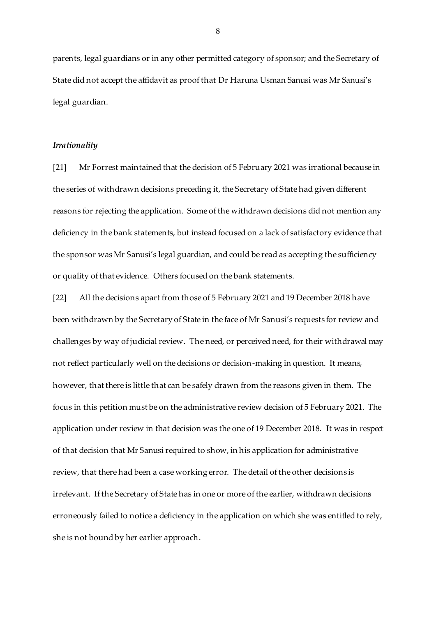parents, legal guardians or in any other permitted category of sponsor; and the Secretary of State did not accept the affidavit as proof that Dr Haruna Usman Sanusi was Mr Sanusi's legal guardian.

#### *Irrationality*

[21] Mr Forrest maintained that the decision of 5 February 2021 was irrational because in the series of withdrawn decisions preceding it, the Secretary of State had given different reasons for rejecting the application. Some of the withdrawn decisions did not mention any deficiency in the bank statements, but instead focused on a lack of satisfactory evidence that the sponsor was Mr Sanusi's legal guardian, and could be read as accepting the sufficiency or quality of that evidence. Others focused on the bank statements.

[22] All the decisions apart from those of 5 February 2021 and 19 December 2018 have been withdrawn by the Secretary of State in the face of Mr Sanusi's requests for review and challenges by way of judicial review. The need, or perceived need, for their withdrawal may not reflect particularly well on the decisions or decision-making in question. It means, however, that there is little that can be safely drawn from the reasons given in them. The focus in this petition must be on the administrative review decision of 5 February 2021. The application under review in that decision was the one of 19 December 2018. It was in respect of that decision that Mr Sanusi required to show, in his application for administrative review, that there had been a case working error. The detail of the other decisions is irrelevant. If the Secretary of State has in one or more of the earlier, withdrawn decisions erroneously failed to notice a deficiency in the application on which she was entitled to rely, she is not bound by her earlier approach.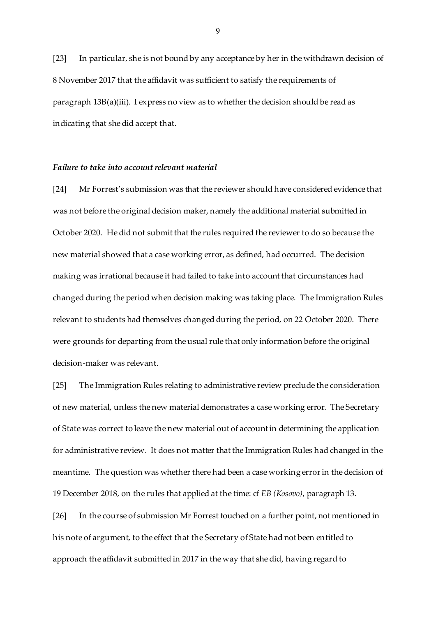[23] In particular, she is not bound by any acceptance by her in the withdrawn decision of 8 November 2017 that the affidavit was sufficient to satisfy the requirements of paragraph 13B(a)(iii). I express no view as to whether the decision should be read as indicating that she did accept that.

### *Failure to take into account relevant material*

[24] Mr Forrest's submission was that the reviewer should have considered evidence that was not before the original decision maker, namely the additional material submitted in October 2020. He did not submit that the rules required the reviewer to do so because the new material showed that a case working error, as defined, had occurred. The decision making was irrational because it had failed to take into account that circumstances had changed during the period when decision making was taking place. The Immigration Rules relevant to students had themselves changed during the period, on 22 October 2020. There were grounds for departing from the usual rule that only information before the original decision-maker was relevant.

[25] The Immigration Rules relating to administrative review preclude the consideration of new material, unless the new material demonstrates a case working error. The Secretary of State was correct to leave the new material out of account in determining the application for administrative review. It does not matter that the Immigration Rules had changed in the meantime. The question was whether there had been a case working error in the decision of 19 December 2018, on the rules that applied at the time: cf *EB (Kosovo)*, paragraph 13.

[26] In the course of submission Mr Forrest touched on a further point, not mentioned in his note of argument, to the effect that the Secretary of State had not been entitled to approach the affidavit submitted in 2017 in the way that she did, having regard to